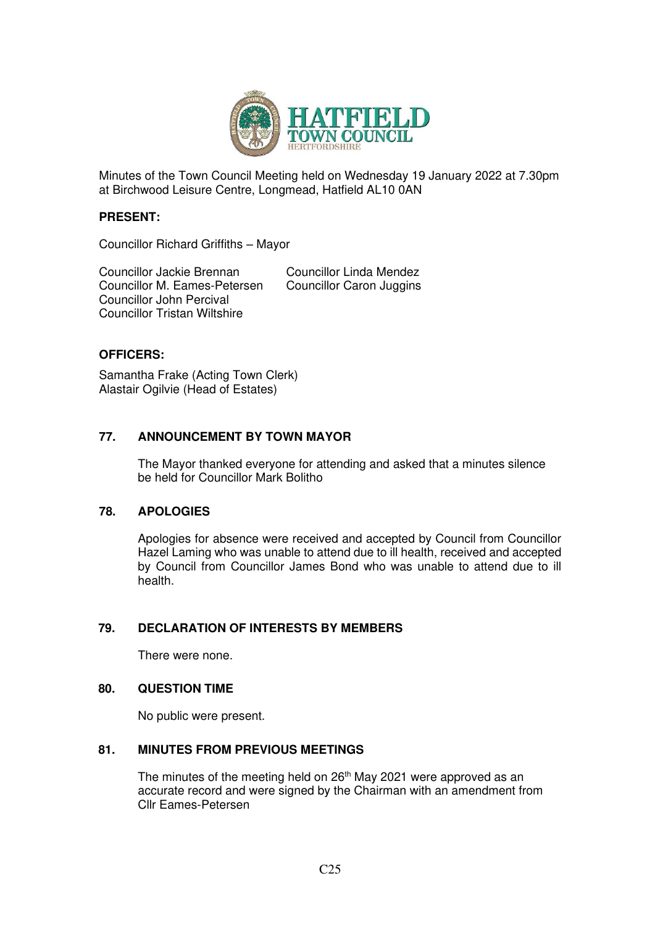

Minutes of the Town Council Meeting held on Wednesday 19 January 2022 at 7.30pm at Birchwood Leisure Centre, Longmead, Hatfield AL10 0AN

#### **PRESENT:**

Councillor Richard Griffiths – Mayor

Councillor Jackie Brennan<br>
Councillor M. Eames-Petersen 
Councillor Caron Juggins Councillor M. Eames-Petersen Councillor John Percival Councillor Tristan Wiltshire

## **OFFICERS:**

Samantha Frake (Acting Town Clerk) Alastair Ogilvie (Head of Estates)

## **77. ANNOUNCEMENT BY TOWN MAYOR**

The Mayor thanked everyone for attending and asked that a minutes silence be held for Councillor Mark Bolitho

## **78. APOLOGIES**

Apologies for absence were received and accepted by Council from Councillor Hazel Laming who was unable to attend due to ill health, received and accepted by Council from Councillor James Bond who was unable to attend due to ill health.

## **79. DECLARATION OF INTERESTS BY MEMBERS**

There were none.

#### **80. QUESTION TIME**

No public were present.

## **81. MINUTES FROM PREVIOUS MEETINGS**

The minutes of the meeting held on 26<sup>th</sup> May 2021 were approved as an accurate record and were signed by the Chairman with an amendment from Cllr Eames-Petersen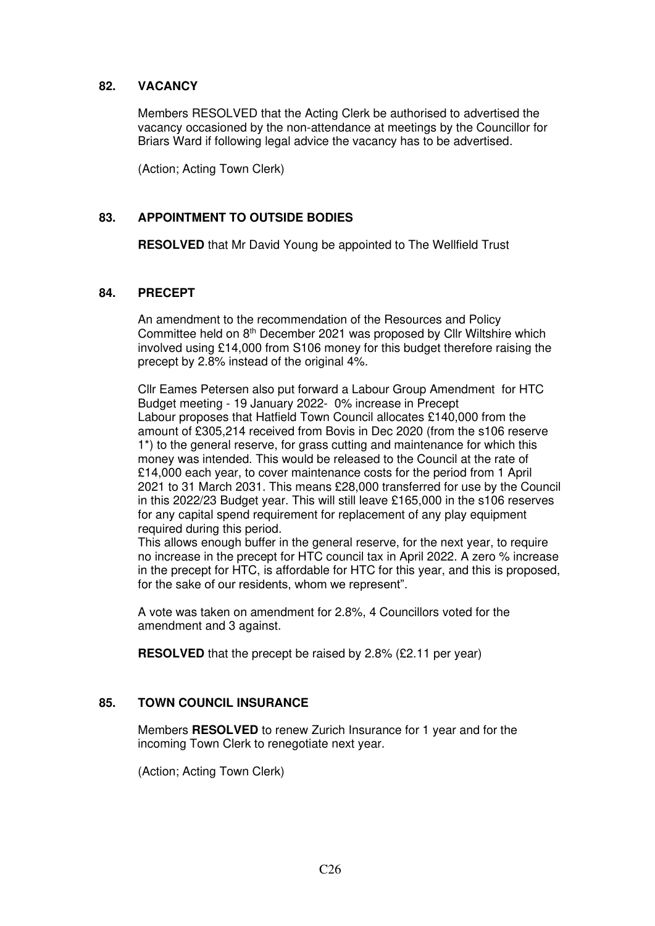## **82. VACANCY**

Members RESOLVED that the Acting Clerk be authorised to advertised the vacancy occasioned by the non-attendance at meetings by the Councillor for Briars Ward if following legal advice the vacancy has to be advertised.

(Action; Acting Town Clerk)

## **83. APPOINTMENT TO OUTSIDE BODIES**

**RESOLVED** that Mr David Young be appointed to The Wellfield Trust

#### **84. PRECEPT**

An amendment to the recommendation of the Resources and Policy Committee held on 8<sup>th</sup> December 2021 was proposed by Cllr Wiltshire which involved using £14,000 from S106 money for this budget therefore raising the precept by 2.8% instead of the original 4%.

Cllr Eames Petersen also put forward a Labour Group Amendment for HTC Budget meeting - 19 January 2022- 0% increase in Precept Labour proposes that Hatfield Town Council allocates £140,000 from the amount of £305,214 received from Bovis in Dec 2020 (from the s106 reserve 1\*) to the general reserve, for grass cutting and maintenance for which this money was intended. This would be released to the Council at the rate of £14,000 each year, to cover maintenance costs for the period from 1 April 2021 to 31 March 2031. This means £28,000 transferred for use by the Council in this 2022/23 Budget year. This will still leave £165,000 in the s106 reserves for any capital spend requirement for replacement of any play equipment required during this period.

This allows enough buffer in the general reserve, for the next year, to require no increase in the precept for HTC council tax in April 2022. A zero % increase in the precept for HTC, is affordable for HTC for this year, and this is proposed, for the sake of our residents, whom we represent".

A vote was taken on amendment for 2.8%, 4 Councillors voted for the amendment and 3 against.

**RESOLVED** that the precept be raised by 2.8% (£2.11 per year)

## **85. TOWN COUNCIL INSURANCE**

Members **RESOLVED** to renew Zurich Insurance for 1 year and for the incoming Town Clerk to renegotiate next year.

(Action; Acting Town Clerk)